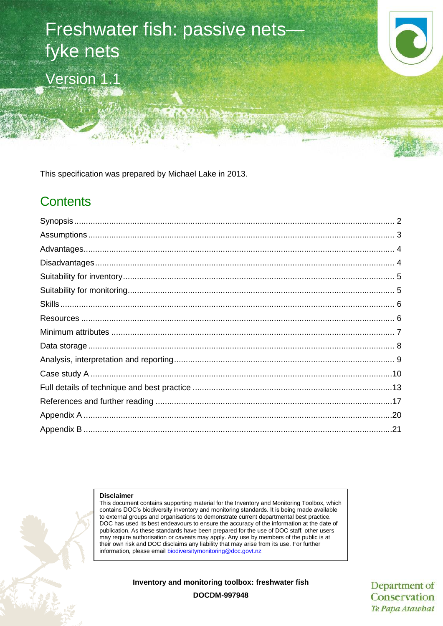# Freshwater fish: passive nets fyke nets Version 1.1



# **Contents**

#### **Disclaimer**

This document contains supporting material for the Inventory and Monitoring Toolbox, which contains DOC's biodiversity inventory and monitoring standards. It is being made available to external groups and organisations to demonstrate current departmental best practice. DOC has used its best endeavours to ensure the accuracy of the information at the date of publication. As these standards have been prepared for the use of DOC staff, other users may require authorisation or caveats may apply. Any use by members of the public is at their own risk and DOC disclaims any liability that may arise from its use. For further information, please email [biodiversitymonitoring@doc.govt.nz](mailto:biodiversitymonitoring@doc.govt.nz)

**Inventory and monitoring toolbox: freshwater fish**

Department of Conservation Te Papa Atawbai

**DOCDM-997948**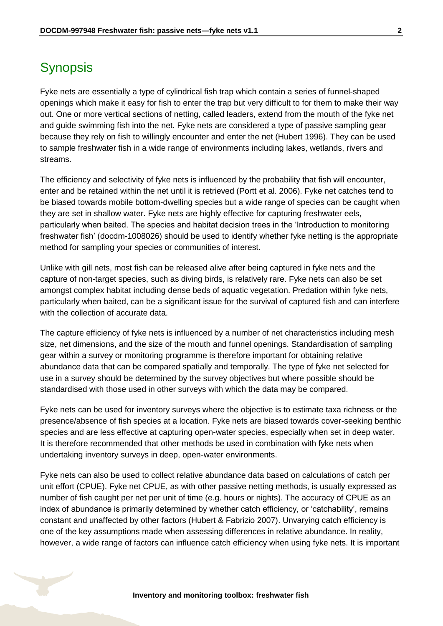# <span id="page-1-0"></span>Synopsis

Fyke nets are essentially a type of cylindrical fish trap which contain a series of funnel-shaped openings which make it easy for fish to enter the trap but very difficult to for them to make their way out. One or more vertical sections of netting, called leaders, extend from the mouth of the fyke net and guide swimming fish into the net. Fyke nets are considered a type of passive sampling gear because they rely on fish to willingly encounter and enter the net (Hubert 1996). They can be used to sample freshwater fish in a wide range of environments including lakes, wetlands, rivers and streams.

The efficiency and selectivity of fyke nets is influenced by the probability that fish will encounter, enter and be retained within the net until it is retrieved (Portt et al. 2006). Fyke net catches tend to be biased towards mobile bottom-dwelling species but a wide range of species can be caught when they are set in shallow water. Fyke nets are highly effective for capturing freshwater eels, particularly when baited. The species and habitat decision trees in the 'Introduction to monitoring freshwater fish' (docdm-1008026) should be used to identify whether fyke netting is the appropriate method for sampling your species or communities of interest.

Unlike with gill nets, most fish can be released alive after being captured in fyke nets and the capture of non-target species, such as diving birds, is relatively rare. Fyke nets can also be set amongst complex habitat including dense beds of aquatic vegetation. Predation within fyke nets, particularly when baited, can be a significant issue for the survival of captured fish and can interfere with the collection of accurate data.

The capture efficiency of fyke nets is influenced by a number of net characteristics including mesh size, net dimensions, and the size of the mouth and funnel openings. Standardisation of sampling gear within a survey or monitoring programme is therefore important for obtaining relative abundance data that can be compared spatially and temporally. The type of fyke net selected for use in a survey should be determined by the survey objectives but where possible should be standardised with those used in other surveys with which the data may be compared.

Fyke nets can be used for inventory surveys where the objective is to estimate taxa richness or the presence/absence of fish species at a location. Fyke nets are biased towards cover-seeking benthic species and are less effective at capturing open-water species, especially when set in deep water. It is therefore recommended that other methods be used in combination with fyke nets when undertaking inventory surveys in deep, open-water environments.

Fyke nets can also be used to collect relative abundance data based on calculations of catch per unit effort (CPUE). Fyke net CPUE, as with other passive netting methods, is usually expressed as number of fish caught per net per unit of time (e.g. hours or nights). The accuracy of CPUE as an index of abundance is primarily determined by whether catch efficiency, or 'catchability', remains constant and unaffected by other factors (Hubert & Fabrizio 2007). Unvarying catch efficiency is one of the key assumptions made when assessing differences in relative abundance. In reality, however, a wide range of factors can influence catch efficiency when using fyke nets. It is important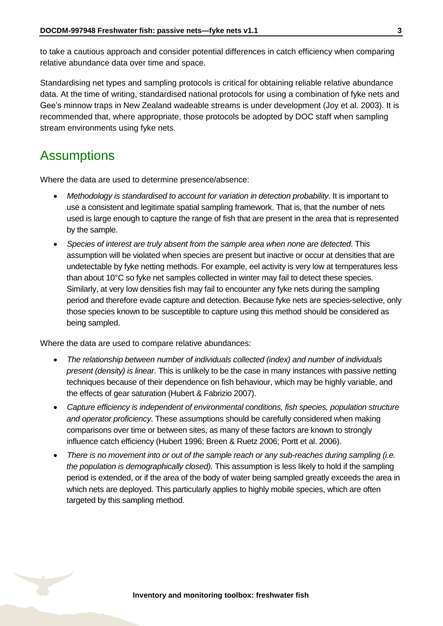to take a cautious approach and consider potential differences in catch efficiency when comparing relative abundance data over time and space.

Standardising net types and sampling protocols is critical for obtaining reliable relative abundance data. At the time of writing, standardised national protocols for using a combination of fyke nets and Gee's minnow traps in New Zealand wadeable streams is under development (Joy et al. 2003). It is recommended that, where appropriate, those protocols be adopted by DOC staff when sampling stream environments using fyke nets.

### <span id="page-2-0"></span>**Assumptions**

Where the data are used to determine presence/absence:

- *Methodology is standardised to account for variation in detection probability*. It is important to use a consistent and legitimate spatial sampling framework. That is, that the number of nets used is large enough to capture the range of fish that are present in the area that is represented by the sample.
- *Species of interest are truly absent from the sample area when none are detected*. This assumption will be violated when species are present but inactive or occur at densities that are undetectable by fyke netting methods. For example, eel activity is very low at temperatures less than about 10°C so fyke net samples collected in winter may fail to detect these species. Similarly, at very low densities fish may fail to encounter any fyke nets during the sampling period and therefore evade capture and detection. Because fyke nets are species-selective, only those species known to be susceptible to capture using this method should be considered as being sampled.

Where the data are used to compare relative abundances:

- *The relationship between number of individuals collected (index) and number of individuals present (density) is linear*. This is unlikely to be the case in many instances with passive netting techniques because of their dependence on fish behaviour, which may be highly variable, and the effects of gear saturation (Hubert & Fabrizio 2007).
- *Capture efficiency is independent of environmental conditions, fish species, population structure and operator proficiency*. These assumptions should be carefully considered when making comparisons over time or between sites, as many of these factors are known to strongly influence catch efficiency (Hubert 1996; Breen & Ruetz 2006; Portt et al. 2006).
- *There is no movement into or out of the sample reach or any sub-reaches during sampling (i.e. the population is demographically closed).* This assumption is less likely to hold if the sampling period is extended, or if the area of the body of water being sampled greatly exceeds the area in which nets are deployed. This particularly applies to highly mobile species, which are often targeted by this sampling method.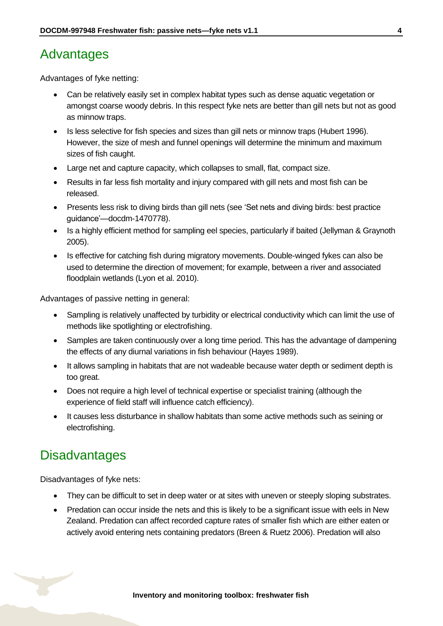## <span id="page-3-0"></span>Advantages

Advantages of fyke netting:

- Can be relatively easily set in complex habitat types such as dense aquatic vegetation or amongst coarse woody debris. In this respect fyke nets are better than gill nets but not as good as minnow traps.
- Is less selective for fish species and sizes than gill nets or minnow traps (Hubert 1996). However, the size of mesh and funnel openings will determine the minimum and maximum sizes of fish caught.
- Large net and capture capacity, which collapses to small, flat, compact size.
- Results in far less fish mortality and injury compared with gill nets and most fish can be released.
- Presents less risk to diving birds than gill nets (see 'Set nets and diving birds: best practice guidance'—docdm-1470778).
- Is a highly efficient method for sampling eel species, particularly if baited (Jellyman & Graynoth 2005).
- Is effective for catching fish during migratory movements. Double-winged fykes can also be used to determine the direction of movement; for example, between a river and associated floodplain wetlands (Lyon et al. 2010).

Advantages of passive netting in general:

- Sampling is relatively unaffected by turbidity or electrical conductivity which can limit the use of methods like spotlighting or electrofishing.
- Samples are taken continuously over a long time period. This has the advantage of dampening the effects of any diurnal variations in fish behaviour (Hayes 1989).
- It allows sampling in habitats that are not wadeable because water depth or sediment depth is too great.
- Does not require a high level of technical expertise or specialist training (although the experience of field staff will influence catch efficiency).
- It causes less disturbance in shallow habitats than some active methods such as seining or electrofishing.

# <span id="page-3-1"></span>**Disadvantages**

Disadvantages of fyke nets:

- They can be difficult to set in deep water or at sites with uneven or steeply sloping substrates.
- Predation can occur inside the nets and this is likely to be a significant issue with eels in New Zealand. Predation can affect recorded capture rates of smaller fish which are either eaten or actively avoid entering nets containing predators (Breen & Ruetz 2006). Predation will also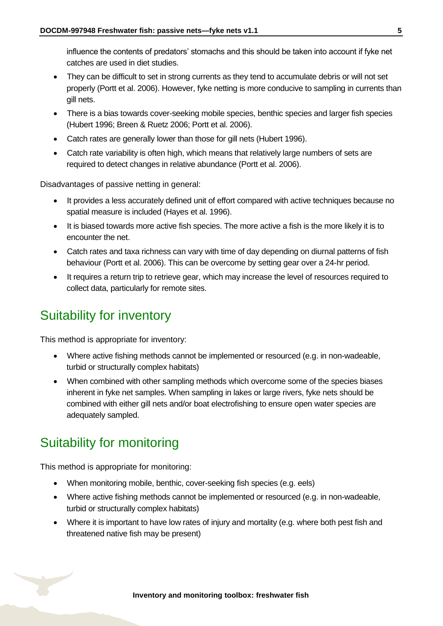influence the contents of predators' stomachs and this should be taken into account if fyke net catches are used in diet studies.

- They can be difficult to set in strong currents as they tend to accumulate debris or will not set properly (Portt et al. 2006). However, fyke netting is more conducive to sampling in currents than gill nets.
- There is a bias towards cover-seeking mobile species, benthic species and larger fish species (Hubert 1996; Breen & Ruetz 2006; Portt et al. 2006).
- Catch rates are generally lower than those for gill nets (Hubert 1996).
- Catch rate variability is often high, which means that relatively large numbers of sets are required to detect changes in relative abundance (Portt et al. 2006).

Disadvantages of passive netting in general:

- It provides a less accurately defined unit of effort compared with active techniques because no spatial measure is included (Hayes et al. 1996).
- It is biased towards more active fish species. The more active a fish is the more likely it is to encounter the net.
- Catch rates and taxa richness can vary with time of day depending on diurnal patterns of fish behaviour (Portt et al. 2006). This can be overcome by setting gear over a 24-hr period.
- It requires a return trip to retrieve gear, which may increase the level of resources required to collect data, particularly for remote sites.

# <span id="page-4-0"></span>Suitability for inventory

This method is appropriate for inventory:

- Where active fishing methods cannot be implemented or resourced (e.g. in non-wadeable, turbid or structurally complex habitats)
- When combined with other sampling methods which overcome some of the species biases inherent in fyke net samples. When sampling in lakes or large rivers, fyke nets should be combined with either gill nets and/or boat electrofishing to ensure open water species are adequately sampled.

# <span id="page-4-1"></span>Suitability for monitoring

This method is appropriate for monitoring:

- When monitoring mobile, benthic, cover-seeking fish species (e.g. eels)
- Where active fishing methods cannot be implemented or resourced (e.g. in non-wadeable, turbid or structurally complex habitats)
- Where it is important to have low rates of injury and mortality (e.g. where both pest fish and threatened native fish may be present)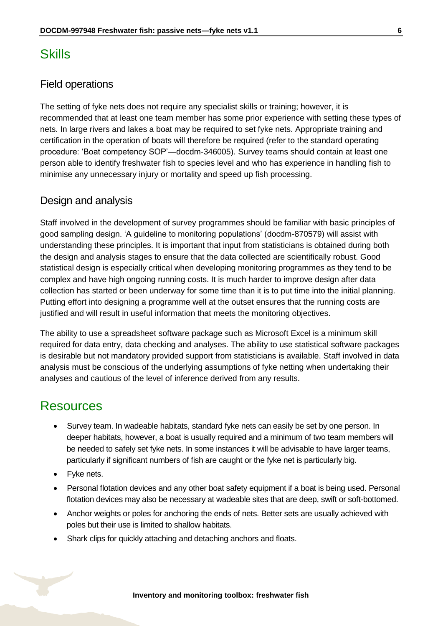### <span id="page-5-0"></span>**Skills**

#### Field operations

The setting of fyke nets does not require any specialist skills or training; however, it is recommended that at least one team member has some prior experience with setting these types of nets. In large rivers and lakes a boat may be required to set fyke nets. Appropriate training and certification in the operation of boats will therefore be required (refer to the standard operating procedure: 'Boat competency SOP'—docdm-346005). Survey teams should contain at least one person able to identify freshwater fish to species level and who has experience in handling fish to minimise any unnecessary injury or mortality and speed up fish processing.

#### Design and analysis

Staff involved in the development of survey programmes should be familiar with basic principles of good sampling design. 'A guideline to monitoring populations' (docdm-870579) will assist with understanding these principles. It is important that input from statisticians is obtained during both the design and analysis stages to ensure that the data collected are scientifically robust. Good statistical design is especially critical when developing monitoring programmes as they tend to be complex and have high ongoing running costs. It is much harder to improve design after data collection has started or been underway for some time than it is to put time into the initial planning. Putting effort into designing a programme well at the outset ensures that the running costs are justified and will result in useful information that meets the monitoring objectives.

The ability to use a spreadsheet software package such as Microsoft Excel is a minimum skill required for data entry, data checking and analyses. The ability to use statistical software packages is desirable but not mandatory provided support from statisticians is available. Staff involved in data analysis must be conscious of the underlying assumptions of fyke netting when undertaking their analyses and cautious of the level of inference derived from any results.

### <span id="page-5-1"></span>Resources

- Survey team. In wadeable habitats, standard fyke nets can easily be set by one person. In deeper habitats, however, a boat is usually required and a minimum of two team members will be needed to safely set fyke nets. In some instances it will be advisable to have larger teams, particularly if significant numbers of fish are caught or the fyke net is particularly big.
- Fyke nets.
- Personal flotation devices and any other boat safety equipment if a boat is being used. Personal flotation devices may also be necessary at wadeable sites that are deep, swift or soft-bottomed.
- Anchor weights or poles for anchoring the ends of nets. Better sets are usually achieved with poles but their use is limited to shallow habitats.
- Shark clips for quickly attaching and detaching anchors and floats.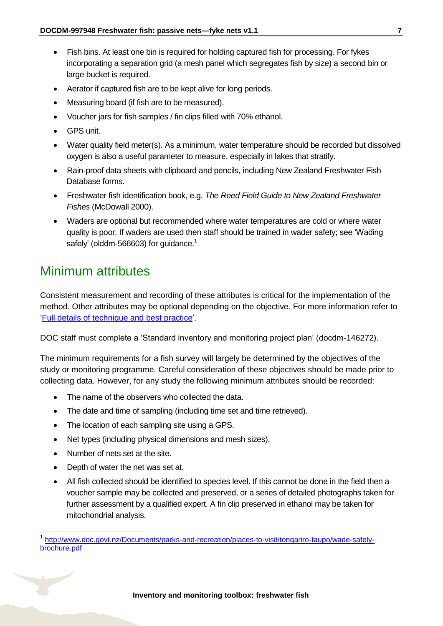- Fish bins. At least one bin is required for holding captured fish for processing. For fykes incorporating a separation grid (a mesh panel which segregates fish by size) a second bin or large bucket is required.
- Aerator if captured fish are to be kept alive for long periods.
- Measuring board (if fish are to be measured).
- Voucher jars for fish samples / fin clips filled with 70% ethanol.
- GPS unit.
- Water quality field meter(s). As a minimum, water temperature should be recorded but dissolved oxygen is also a useful parameter to measure, especially in lakes that stratify.
- Rain-proof data sheets with clipboard and pencils, including New Zealand Freshwater Fish Database forms.
- Freshwater fish identification book, e.g. *The Reed Field Guide to New Zealand Freshwater Fishes* (McDowall 2000).
- Waders are optional but recommended where water temperatures are cold or where water quality is poor. If waders are used then staff should be trained in wader safety; see 'Wading safely' (olddm-566603) for quidance.<sup>1</sup>

## <span id="page-6-0"></span>Minimum attributes

Consistent measurement and recording of these attributes is critical for the implementation of the method. Other attributes may be optional depending on the objective. For more information refer to ['Full details of technique and best practice'](#page-12-0).

DOC staff must complete a 'Standard inventory and monitoring project plan' (docdm-146272).

The minimum requirements for a fish survey will largely be determined by the objectives of the study or monitoring programme. Careful consideration of these objectives should be made prior to collecting data. However, for any study the following minimum attributes should be recorded:

- The name of the observers who collected the data.
- The date and time of sampling (including time set and time retrieved).
- The location of each sampling site using a GPS.
- Net types (including physical dimensions and mesh sizes).
- Number of nets set at the site.

 $\overline{1}$ 

- Depth of water the net was set at.
- All fish collected should be identified to species level. If this cannot be done in the field then a voucher sample may be collected and preserved, or a series of detailed photographs taken for further assessment by a qualified expert. A fin clip preserved in ethanol may be taken for mitochondrial analysis.

<sup>1</sup> [http://www.doc.govt.nz/Documents/parks-and-recreation/places-to-visit/tongariro-taupo/wade-safely](http://www.doc.govt.nz/Documents/parks-and-recreation/places-to-visit/tongariro-taupo/wade-safely-brochure.pdf)[brochure.pdf](http://www.doc.govt.nz/Documents/parks-and-recreation/places-to-visit/tongariro-taupo/wade-safely-brochure.pdf)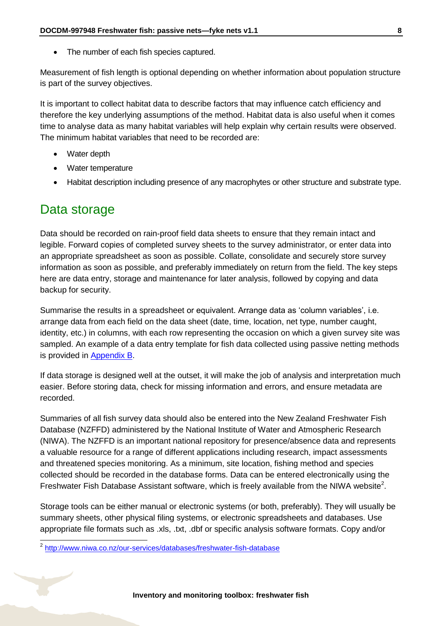• The number of each fish species captured.

Measurement of fish length is optional depending on whether information about population structure is part of the survey objectives.

It is important to collect habitat data to describe factors that may influence catch efficiency and therefore the key underlying assumptions of the method. Habitat data is also useful when it comes time to analyse data as many habitat variables will help explain why certain results were observed. The minimum habitat variables that need to be recorded are:

- Water depth
- Water temperature
- Habitat description including presence of any macrophytes or other structure and substrate type.

### <span id="page-7-0"></span>Data storage

-

Data should be recorded on rain-proof field data sheets to ensure that they remain intact and legible. Forward copies of completed survey sheets to the survey administrator, or enter data into an appropriate spreadsheet as soon as possible. Collate, consolidate and securely store survey information as soon as possible, and preferably immediately on return from the field. The key steps here are data entry, storage and maintenance for later analysis, followed by copying and data backup for security.

Summarise the results in a spreadsheet or equivalent. Arrange data as 'column variables', i.e. arrange data from each field on the data sheet (date, time, location, net type, number caught, identity, etc.) in columns, with each row representing the occasion on which a given survey site was sampled. An example of a data entry template for fish data collected using passive netting methods is provided in [Appendix B.](#page-19-1)

If data storage is designed well at the outset, it will make the job of analysis and interpretation much easier. Before storing data, check for missing information and errors, and ensure metadata are recorded.

Summaries of all fish survey data should also be entered into the New Zealand Freshwater Fish Database (NZFFD) administered by the National Institute of Water and Atmospheric Research (NIWA). The NZFFD is an important national repository for presence/absence data and represents a valuable resource for a range of different applications including research, impact assessments and threatened species monitoring. As a minimum, site location, fishing method and species collected should be recorded in the database forms. Data can be entered electronically using the Freshwater Fish Database Assistant software, which is freely available from the NIWA website<sup>2</sup>.

Storage tools can be either manual or electronic systems (or both, preferably). They will usually be summary sheets, other physical filing systems, or electronic spreadsheets and databases. Use appropriate file formats such as .xls, .txt, .dbf or specific analysis software formats. Copy and/or

<sup>&</sup>lt;sup>2</sup> <http://www.niwa.co.nz/our-services/databases/freshwater-fish-database>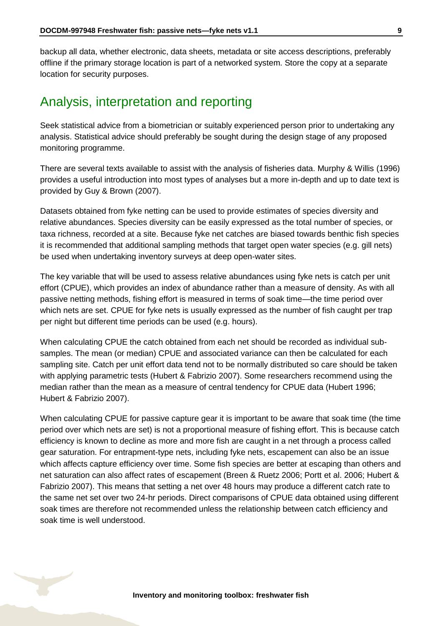backup all data, whether electronic, data sheets, metadata or site access descriptions, preferably offline if the primary storage location is part of a networked system. Store the copy at a separate location for security purposes.

### <span id="page-8-0"></span>Analysis, interpretation and reporting

Seek statistical advice from a biometrician or suitably experienced person prior to undertaking any analysis. Statistical advice should preferably be sought during the design stage of any proposed monitoring programme.

There are several texts available to assist with the analysis of fisheries data. Murphy & Willis (1996) provides a useful introduction into most types of analyses but a more in-depth and up to date text is provided by Guy & Brown (2007).

Datasets obtained from fyke netting can be used to provide estimates of species diversity and relative abundances. Species diversity can be easily expressed as the total number of species, or taxa richness, recorded at a site. Because fyke net catches are biased towards benthic fish species it is recommended that additional sampling methods that target open water species (e.g. gill nets) be used when undertaking inventory surveys at deep open-water sites.

The key variable that will be used to assess relative abundances using fyke nets is catch per unit effort (CPUE), which provides an index of abundance rather than a measure of density. As with all passive netting methods, fishing effort is measured in terms of soak time—the time period over which nets are set. CPUE for fyke nets is usually expressed as the number of fish caught per trap per night but different time periods can be used (e.g. hours).

When calculating CPUE the catch obtained from each net should be recorded as individual subsamples. The mean (or median) CPUE and associated variance can then be calculated for each sampling site. Catch per unit effort data tend not to be normally distributed so care should be taken with applying parametric tests (Hubert & Fabrizio 2007). Some researchers recommend using the median rather than the mean as a measure of central tendency for CPUE data (Hubert 1996; Hubert & Fabrizio 2007).

When calculating CPUE for passive capture gear it is important to be aware that soak time (the time period over which nets are set) is not a proportional measure of fishing effort. This is because catch efficiency is known to decline as more and more fish are caught in a net through a process called gear saturation. For entrapment-type nets, including fyke nets, escapement can also be an issue which affects capture efficiency over time. Some fish species are better at escaping than others and net saturation can also affect rates of escapement (Breen & Ruetz 2006; Portt et al. 2006; Hubert & Fabrizio 2007). This means that setting a net over 48 hours may produce a different catch rate to the same net set over two 24-hr periods. Direct comparisons of CPUE data obtained using different soak times are therefore not recommended unless the relationship between catch efficiency and soak time is well understood.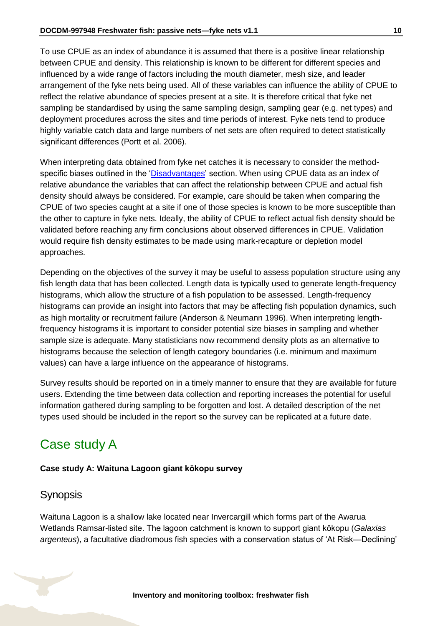To use CPUE as an index of abundance it is assumed that there is a positive linear relationship between CPUE and density. This relationship is known to be different for different species and influenced by a wide range of factors including the mouth diameter, mesh size, and leader arrangement of the fyke nets being used. All of these variables can influence the ability of CPUE to reflect the relative abundance of species present at a site. It is therefore critical that fyke net sampling be standardised by using the same sampling design, sampling gear (e.g. net types) and deployment procedures across the sites and time periods of interest. Fyke nets tend to produce highly variable catch data and large numbers of net sets are often required to detect statistically significant differences (Portt et al. 2006).

When interpreting data obtained from fyke net catches it is necessary to consider the methodspecific biases outlined in the ['Disadvantages'](#page-3-1) section. When using CPUE data as an index of relative abundance the variables that can affect the relationship between CPUE and actual fish density should always be considered. For example, care should be taken when comparing the CPUE of two species caught at a site if one of those species is known to be more susceptible than the other to capture in fyke nets. Ideally, the ability of CPUE to reflect actual fish density should be validated before reaching any firm conclusions about observed differences in CPUE. Validation would require fish density estimates to be made using mark-recapture or depletion model approaches.

Depending on the objectives of the survey it may be useful to assess population structure using any fish length data that has been collected. Length data is typically used to generate length-frequency histograms, which allow the structure of a fish population to be assessed. Length-frequency histograms can provide an insight into factors that may be affecting fish population dynamics, such as high mortality or recruitment failure (Anderson & Neumann 1996). When interpreting lengthfrequency histograms it is important to consider potential size biases in sampling and whether sample size is adequate. Many statisticians now recommend density plots as an alternative to histograms because the selection of length category boundaries (i.e. minimum and maximum values) can have a large influence on the appearance of histograms.

Survey results should be reported on in a timely manner to ensure that they are available for future users. Extending the time between data collection and reporting increases the potential for useful information gathered during sampling to be forgotten and lost. A detailed description of the net types used should be included in the report so the survey can be replicated at a future date.

# <span id="page-9-0"></span>Case study A

#### **Case study A: Waituna Lagoon giant kōkopu survey**

#### **Synopsis**

Waituna Lagoon is a shallow lake located near Invercargill which forms part of the Awarua Wetlands Ramsar-listed site. The lagoon catchment is known to support giant kōkopu (*Galaxias argenteus*), a facultative diadromous fish species with a conservation status of 'At Risk—Declining'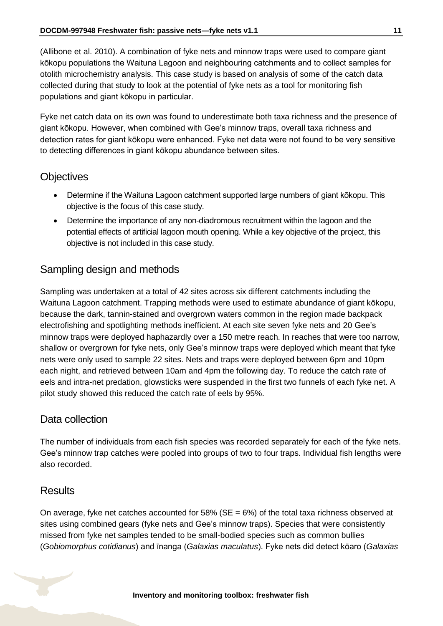(Allibone et al. 2010). A combination of fyke nets and minnow traps were used to compare giant kōkopu populations the Waituna Lagoon and neighbouring catchments and to collect samples for otolith microchemistry analysis. This case study is based on analysis of some of the catch data collected during that study to look at the potential of fyke nets as a tool for monitoring fish populations and giant kōkopu in particular.

Fyke net catch data on its own was found to underestimate both taxa richness and the presence of giant kōkopu. However, when combined with Gee's minnow traps, overall taxa richness and detection rates for giant kōkopu were enhanced. Fyke net data were not found to be very sensitive to detecting differences in giant kōkopu abundance between sites.

#### **Objectives**

- Determine if the Waituna Lagoon catchment supported large numbers of giant kōkopu. This objective is the focus of this case study.
- Determine the importance of any non-diadromous recruitment within the lagoon and the potential effects of artificial lagoon mouth opening. While a key objective of the project, this objective is not included in this case study.

### Sampling design and methods

Sampling was undertaken at a total of 42 sites across six different catchments including the Waituna Lagoon catchment. Trapping methods were used to estimate abundance of giant kōkopu, because the dark, tannin-stained and overgrown waters common in the region made backpack electrofishing and spotlighting methods inefficient. At each site seven fyke nets and 20 Gee's minnow traps were deployed haphazardly over a 150 metre reach. In reaches that were too narrow, shallow or overgrown for fyke nets, only Gee's minnow traps were deployed which meant that fyke nets were only used to sample 22 sites. Nets and traps were deployed between 6pm and 10pm each night, and retrieved between 10am and 4pm the following day. To reduce the catch rate of eels and intra-net predation, glowsticks were suspended in the first two funnels of each fyke net. A pilot study showed this reduced the catch rate of eels by 95%.

#### Data collection

The number of individuals from each fish species was recorded separately for each of the fyke nets. Gee's minnow trap catches were pooled into groups of two to four traps. Individual fish lengths were also recorded.

#### Results

On average, fyke net catches accounted for  $58\%$  (SE =  $6\%$ ) of the total taxa richness observed at sites using combined gears (fyke nets and Gee's minnow traps). Species that were consistently missed from fyke net samples tended to be small-bodied species such as common bullies (*Gobiomorphus cotidianus*) and īnanga (*Galaxias maculatus*). Fyke nets did detect kōaro (*Galaxias*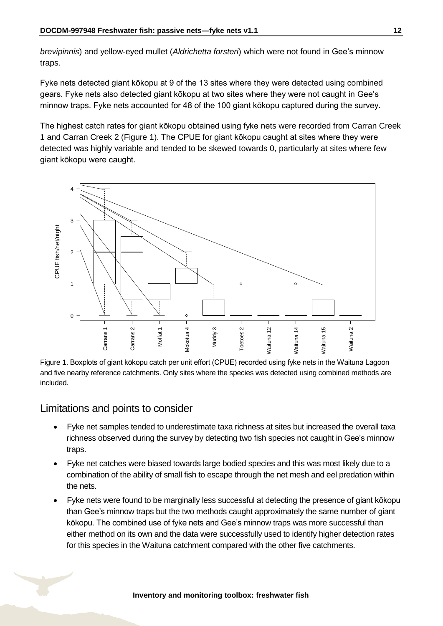*brevipinnis*) and yellow-eyed mullet (*Aldrichetta forsteri*) which were not found in Gee's minnow traps.

Fyke nets detected giant kōkopu at 9 of the 13 sites where they were detected using combined gears. Fyke nets also detected giant kōkopu at two sites where they were not caught in Gee's minnow traps. Fyke nets accounted for 48 of the 100 giant kōkopu captured during the survey.

The highest catch rates for giant kōkopu obtained using fyke nets were recorded from Carran Creek 1 and Carran Creek 2 [\(Figure 1\)](#page-11-0). The CPUE for giant kōkopu caught at sites where they were detected was highly variable and tended to be skewed towards 0, particularly at sites where few giant kōkopu were caught.



<span id="page-11-0"></span>Figure 1. Boxplots of giant kōkopu catch per unit effort (CPUE) recorded using fyke nets in the Waituna Lagoon and five nearby reference catchments. Only sites where the species was detected using combined methods are included.

#### Limitations and points to consider

- Fyke net samples tended to underestimate taxa richness at sites but increased the overall taxa richness observed during the survey by detecting two fish species not caught in Gee's minnow traps.
- Fyke net catches were biased towards large bodied species and this was most likely due to a combination of the ability of small fish to escape through the net mesh and eel predation within the nets.
- Fyke nets were found to be marginally less successful at detecting the presence of giant kōkopu than Gee's minnow traps but the two methods caught approximately the same number of giant kōkopu. The combined use of fyke nets and Gee's minnow traps was more successful than either method on its own and the data were successfully used to identify higher detection rates for this species in the Waituna catchment compared with the other five catchments.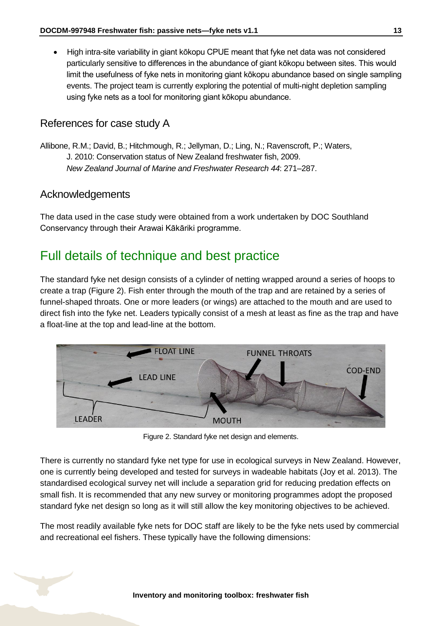High intra-site variability in giant kōkopu CPUE meant that fyke net data was not considered particularly sensitive to differences in the abundance of giant kōkopu between sites. This would limit the usefulness of fyke nets in monitoring giant kōkopu abundance based on single sampling events. The project team is currently exploring the potential of multi-night depletion sampling using fyke nets as a tool for monitoring giant kōkopu abundance.

#### References for case study A

Allibone, R.M.; David, B.; Hitchmough, R.; Jellyman, D.; Ling, N.; Ravenscroft, P.; Waters, J. 2010: Conservation status of New Zealand freshwater fish, 2009. *New Zealand Journal of Marine and Freshwater Research 44*: 271–287.

#### Acknowledgements

The data used in the case study were obtained from a work undertaken by DOC Southland Conservancy through their Arawai Kākāriki programme.

# <span id="page-12-0"></span>Full details of technique and best practice

The standard fyke net design consists of a cylinder of netting wrapped around a series of hoops to create a trap (Figure 2). Fish enter through the mouth of the trap and are retained by a series of funnel-shaped throats. One or more leaders (or wings) are attached to the mouth and are used to direct fish into the fyke net. Leaders typically consist of a mesh at least as fine as the trap and have a float-line at the top and lead-line at the bottom.



Figure 2. Standard fyke net design and elements.

There is currently no standard fyke net type for use in ecological surveys in New Zealand. However, one is currently being developed and tested for surveys in wadeable habitats (Joy et al. 2013). The standardised ecological survey net will include a separation grid for reducing predation effects on small fish. It is recommended that any new survey or monitoring programmes adopt the proposed standard fyke net design so long as it will still allow the key monitoring objectives to be achieved.

The most readily available fyke nets for DOC staff are likely to be the fyke nets used by commercial and recreational eel fishers. These typically have the following dimensions: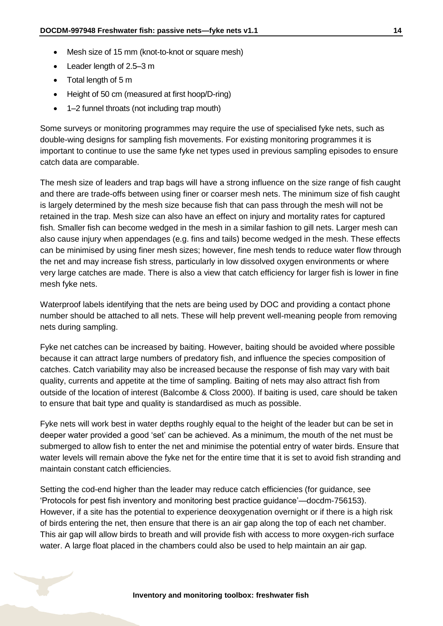- Mesh size of 15 mm (knot-to-knot or square mesh)
- Leader length of 2.5–3 m
- Total length of 5 m
- Height of 50 cm (measured at first hoop/D-ring)
- 1–2 funnel throats (not including trap mouth)

Some surveys or monitoring programmes may require the use of specialised fyke nets, such as double-wing designs for sampling fish movements. For existing monitoring programmes it is important to continue to use the same fyke net types used in previous sampling episodes to ensure catch data are comparable.

The mesh size of leaders and trap bags will have a strong influence on the size range of fish caught and there are trade-offs between using finer or coarser mesh nets. The minimum size of fish caught is largely determined by the mesh size because fish that can pass through the mesh will not be retained in the trap. Mesh size can also have an effect on injury and mortality rates for captured fish. Smaller fish can become wedged in the mesh in a similar fashion to gill nets. Larger mesh can also cause injury when appendages (e.g. fins and tails) become wedged in the mesh. These effects can be minimised by using finer mesh sizes; however, fine mesh tends to reduce water flow through the net and may increase fish stress, particularly in low dissolved oxygen environments or where very large catches are made. There is also a view that catch efficiency for larger fish is lower in fine mesh fyke nets.

Waterproof labels identifying that the nets are being used by DOC and providing a contact phone number should be attached to all nets. These will help prevent well-meaning people from removing nets during sampling.

Fyke net catches can be increased by baiting. However, baiting should be avoided where possible because it can attract large numbers of predatory fish, and influence the species composition of catches. Catch variability may also be increased because the response of fish may vary with bait quality, currents and appetite at the time of sampling. Baiting of nets may also attract fish from outside of the location of interest (Balcombe & Closs 2000). If baiting is used, care should be taken to ensure that bait type and quality is standardised as much as possible.

Fyke nets will work best in water depths roughly equal to the height of the leader but can be set in deeper water provided a good 'set' can be achieved. As a minimum, the mouth of the net must be submerged to allow fish to enter the net and minimise the potential entry of water birds. Ensure that water levels will remain above the fyke net for the entire time that it is set to avoid fish stranding and maintain constant catch efficiencies.

Setting the cod-end higher than the leader may reduce catch efficiencies (for guidance, see 'Protocols for pest fish inventory and monitoring best practice guidance'—docdm-756153). However, if a site has the potential to experience deoxygenation overnight or if there is a high risk of birds entering the net, then ensure that there is an air gap along the top of each net chamber. This air gap will allow birds to breath and will provide fish with access to more oxygen-rich surface water. A large float placed in the chambers could also be used to help maintain an air gap.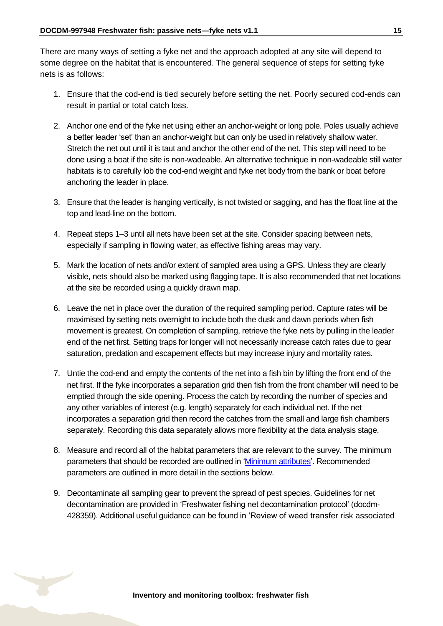There are many ways of setting a fyke net and the approach adopted at any site will depend to some degree on the habitat that is encountered. The general sequence of steps for setting fyke nets is as follows:

- 1. Ensure that the cod-end is tied securely before setting the net. Poorly secured cod-ends can result in partial or total catch loss.
- 2. Anchor one end of the fyke net using either an anchor-weight or long pole. Poles usually achieve a better leader 'set' than an anchor-weight but can only be used in relatively shallow water. Stretch the net out until it is taut and anchor the other end of the net. This step will need to be done using a boat if the site is non-wadeable. An alternative technique in non-wadeable still water habitats is to carefully lob the cod-end weight and fyke net body from the bank or boat before anchoring the leader in place.
- 3. Ensure that the leader is hanging vertically, is not twisted or sagging, and has the float line at the top and lead-line on the bottom.
- 4. Repeat steps 1–3 until all nets have been set at the site. Consider spacing between nets, especially if sampling in flowing water, as effective fishing areas may vary.
- 5. Mark the location of nets and/or extent of sampled area using a GPS. Unless they are clearly visible, nets should also be marked using flagging tape. It is also recommended that net locations at the site be recorded using a quickly drawn map.
- 6. Leave the net in place over the duration of the required sampling period. Capture rates will be maximised by setting nets overnight to include both the dusk and dawn periods when fish movement is greatest. On completion of sampling, retrieve the fyke nets by pulling in the leader end of the net first. Setting traps for longer will not necessarily increase catch rates due to gear saturation, predation and escapement effects but may increase injury and mortality rates.
- 7. Untie the cod-end and empty the contents of the net into a fish bin by lifting the front end of the net first. If the fyke incorporates a separation grid then fish from the front chamber will need to be emptied through the side opening. Process the catch by recording the number of species and any other variables of interest (e.g. length) separately for each individual net. If the net incorporates a separation grid then record the catches from the small and large fish chambers separately. Recording this data separately allows more flexibility at the data analysis stage.
- 8. Measure and record all of the habitat parameters that are relevant to the survey. The minimum parameters that should be recorded are outlined in ['Minimum attributes'.](#page-6-0) Recommended parameters are outlined in more detail in the sections below.
- 9. Decontaminate all sampling gear to prevent the spread of pest species. Guidelines for net decontamination are provided in 'Freshwater fishing net decontamination protocol' (docdm-428359). Additional useful guidance can be found in 'Review of weed transfer risk associated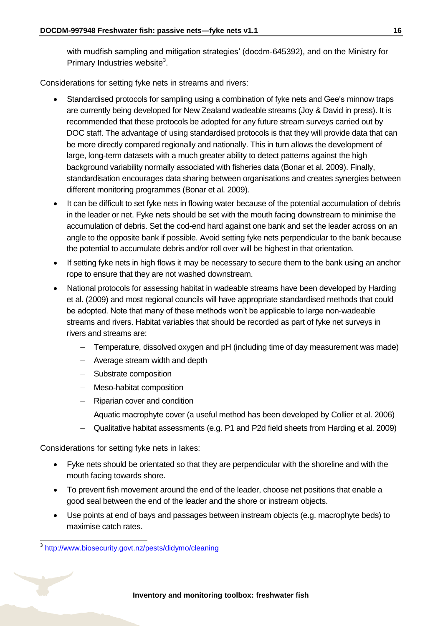with mudfish sampling and mitigation strategies' (docdm-645392), and on the Ministry for Primary Industries website<sup>3</sup>.

Considerations for setting fyke nets in streams and rivers:

- Standardised protocols for sampling using a combination of fyke nets and Gee's minnow traps are currently being developed for New Zealand wadeable streams (Joy & David in press). It is recommended that these protocols be adopted for any future stream surveys carried out by DOC staff. The advantage of using standardised protocols is that they will provide data that can be more directly compared regionally and nationally. This in turn allows the development of large, long-term datasets with a much greater ability to detect patterns against the high background variability normally associated with fisheries data (Bonar et al. 2009). Finally, standardisation encourages data sharing between organisations and creates synergies between different monitoring programmes (Bonar et al. 2009).
- It can be difficult to set fyke nets in flowing water because of the potential accumulation of debris in the leader or net. Fyke nets should be set with the mouth facing downstream to minimise the accumulation of debris. Set the cod-end hard against one bank and set the leader across on an angle to the opposite bank if possible. Avoid setting fyke nets perpendicular to the bank because the potential to accumulate debris and/or roll over will be highest in that orientation.
- If setting fyke nets in high flows it may be necessary to secure them to the bank using an anchor rope to ensure that they are not washed downstream.
- National protocols for assessing habitat in wadeable streams have been developed by Harding et al. (2009) and most regional councils will have appropriate standardised methods that could be adopted. Note that many of these methods won't be applicable to large non-wadeable streams and rivers. Habitat variables that should be recorded as part of fyke net surveys in rivers and streams are:
	- Temperature, dissolved oxygen and pH (including time of day measurement was made)
	- Average stream width and depth
	- Substrate composition
	- Meso-habitat composition
	- Riparian cover and condition
	- Aquatic macrophyte cover (a useful method has been developed by Collier et al. 2006)
	- Qualitative habitat assessments (e.g. P1 and P2d field sheets from Harding et al. 2009)

Considerations for setting fyke nets in lakes:

- Fyke nets should be orientated so that they are perpendicular with the shoreline and with the mouth facing towards shore.
- To prevent fish movement around the end of the leader, choose net positions that enable a good seal between the end of the leader and the shore or instream objects.
- Use points at end of bays and passages between instream objects (e.g. macrophyte beds) to maximise catch rates.

-

<sup>&</sup>lt;sup>3</sup><http://www.biosecurity.govt.nz/pests/didymo/cleaning>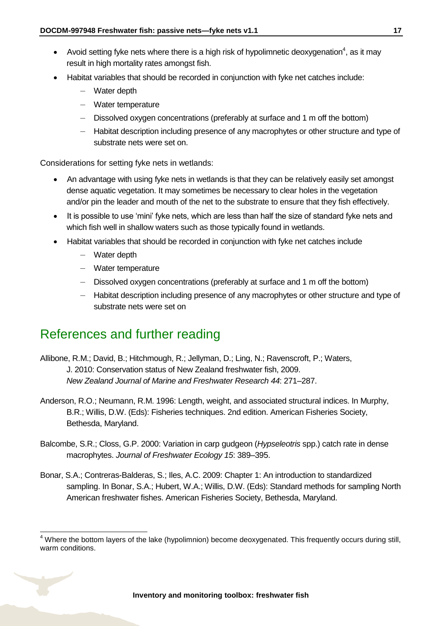- Avoid setting fyke nets where there is a high risk of hypolimnetic deoxygenation<sup>4</sup>, as it may result in high mortality rates amongst fish.
- Habitat variables that should be recorded in conjunction with fyke net catches include:
	- Water depth
	- Water temperature
	- Dissolved oxygen concentrations (preferably at surface and 1 m off the bottom)
	- Habitat description including presence of any macrophytes or other structure and type of substrate nets were set on.

Considerations for setting fyke nets in wetlands:

- An advantage with using fyke nets in wetlands is that they can be relatively easily set amongst dense aquatic vegetation. It may sometimes be necessary to clear holes in the vegetation and/or pin the leader and mouth of the net to the substrate to ensure that they fish effectively.
- It is possible to use 'mini' fyke nets, which are less than half the size of standard fyke nets and which fish well in shallow waters such as those typically found in wetlands.
- Habitat variables that should be recorded in conjunction with fyke net catches include
	- Water depth
	- Water temperature
	- Dissolved oxygen concentrations (preferably at surface and 1 m off the bottom)
	- Habitat description including presence of any macrophytes or other structure and type of substrate nets were set on

## <span id="page-16-0"></span>References and further reading

- Allibone, R.M.; David, B.; Hitchmough, R.; Jellyman, D.; Ling, N.; Ravenscroft, P.; Waters, J. 2010: Conservation status of New Zealand freshwater fish, 2009. *New Zealand Journal of Marine and Freshwater Research 44*: 271–287.
- Anderson, R.O.; Neumann, R.M. 1996: Length, weight, and associated structural indices. In Murphy, B.R.; Willis, D.W. (Eds): Fisheries techniques. 2nd edition. American Fisheries Society, Bethesda, Maryland.
- Balcombe, S.R.; Closs, G.P. 2000: Variation in carp gudgeon (*Hypseleotris* spp.) catch rate in dense macrophytes. *Journal of Freshwater Ecology 15*: 389–395.
- Bonar, S.A.; Contreras-Balderas, S.; Iles, A.C. 2009: Chapter 1: An introduction to standardized sampling. In Bonar, S.A.; Hubert, W.A.; Willis, D.W. (Eds): Standard methods for sampling North American freshwater fishes. American Fisheries Society, Bethesda, Maryland.

 $\overline{\phantom{a}}$  $4$  Where the bottom layers of the lake (hypolimnion) become deoxygenated. This frequently occurs during still, warm conditions.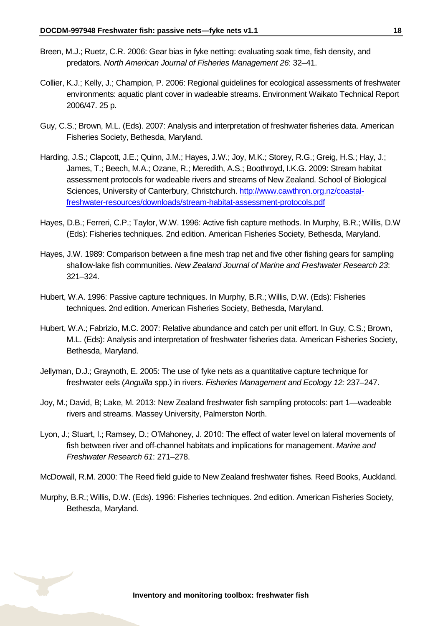- Breen, M.J.; Ruetz, C.R. 2006: Gear bias in fyke netting: evaluating soak time, fish density, and predators. *North American Journal of Fisheries Management 26*: 32–41.
- Collier, K.J.; Kelly, J.; Champion, P. 2006: Regional guidelines for ecological assessments of freshwater environments: aquatic plant cover in wadeable streams. Environment Waikato Technical Report 2006/47. 25 p.
- Guy, C.S.; Brown, M.L. (Eds). 2007: Analysis and interpretation of freshwater fisheries data. American Fisheries Society, Bethesda, Maryland.
- Harding, J.S.; Clapcott, J.E.; Quinn, J.M.; Hayes, J.W.; Joy, M.K.; Storey, R.G.; Greig, H.S*.*; Hay, J.; James, T.; Beech, M.A.; Ozane, R.; Meredith, A.S.; Boothroyd, I.K.G. 2009: Stream habitat assessment protocols for wadeable rivers and streams of New Zealand. School of Biological Sciences, University of Canterbury, Christchurch. [http://www.cawthron.org.nz/coastal](http://www.cawthron.org.nz/coastal-freshwater-resources/downloads/stream-habitat-assessment-protocols.pdf)[freshwater-resources/downloads/stream-habitat-assessment-protocols.pdf](http://www.cawthron.org.nz/coastal-freshwater-resources/downloads/stream-habitat-assessment-protocols.pdf)
- Hayes, D.B.; Ferreri, C.P.; Taylor, W.W. 1996: Active fish capture methods. In Murphy, B.R.; Willis, D.W (Eds): Fisheries techniques. 2nd edition. American Fisheries Society, Bethesda, Maryland.
- Hayes, J.W. 1989: Comparison between a fine mesh trap net and five other fishing gears for sampling shallow-lake fish communities. *New Zealand Journal of Marine and Freshwater Research 23*: 321–324.
- Hubert, W.A. 1996: Passive capture techniques. In Murphy*,* B.R.; Willis, D.W. (Eds): Fisheries techniques. 2nd edition. American Fisheries Society, Bethesda, Maryland.
- Hubert, W.A.; Fabrizio, M.C. 2007: Relative abundance and catch per unit effort. In Guy, C.S.; Brown, M.L. (Eds): Analysis and interpretation of freshwater fisheries data. American Fisheries Society, Bethesda, Maryland.
- Jellyman, D.J.; Graynoth, E. 2005: The use of fyke nets as a quantitative capture technique for freshwater eels (*Anguilla* spp.) in rivers. *Fisheries Management and Ecology 12:* 237–247.
- Joy, M.; David, B; Lake, M. 2013: New Zealand freshwater fish sampling protocols: part 1—wadeable rivers and streams. Massey University, Palmerston North.
- Lyon, J.; Stuart, I.; Ramsey, D.; O'Mahoney, J. 2010: The effect of water level on lateral movements of fish between river and off-channel habitats and implications for management. *Marine and Freshwater Research 61*: 271–278.
- McDowall, R.M. 2000: The Reed field guide to New Zealand freshwater fishes. Reed Books, Auckland.
- Murphy, B.R.; Willis, D.W. (Eds). 1996: Fisheries techniques. 2nd edition. American Fisheries Society, Bethesda, Maryland.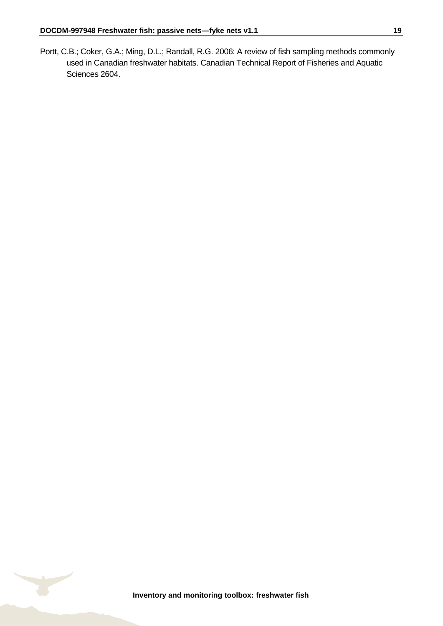Portt, C.B.; Coker, G.A.; Ming, D.L.; Randall, R.G. 2006: A review of fish sampling methods commonly used in Canadian freshwater habitats. Canadian Technical Report of Fisheries and Aquatic Sciences 2604.

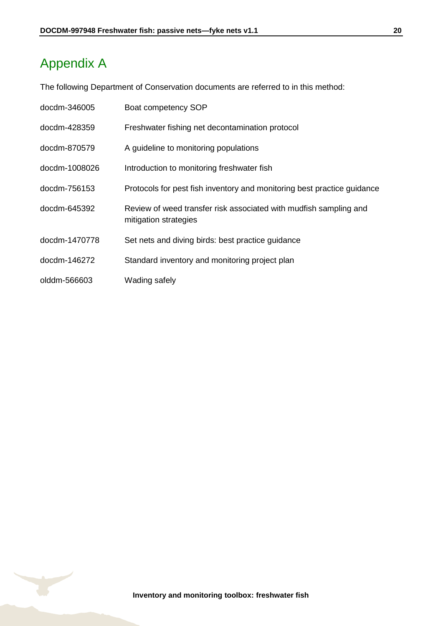# <span id="page-19-0"></span>Appendix A

The following Department of Conservation documents are referred to in this method:

<span id="page-19-1"></span>

| docdm-346005  | Boat competency SOP                                                                        |
|---------------|--------------------------------------------------------------------------------------------|
| docdm-428359  | Freshwater fishing net decontamination protocol                                            |
| docdm-870579  | A guideline to monitoring populations                                                      |
| docdm-1008026 | Introduction to monitoring freshwater fish                                                 |
| docdm-756153  | Protocols for pest fish inventory and monitoring best practice guidance                    |
| docdm-645392  | Review of weed transfer risk associated with mudfish sampling and<br>mitigation strategies |
| docdm-1470778 | Set nets and diving birds: best practice guidance                                          |
| docdm-146272  | Standard inventory and monitoring project plan                                             |
| olddm-566603  | Wading safely                                                                              |

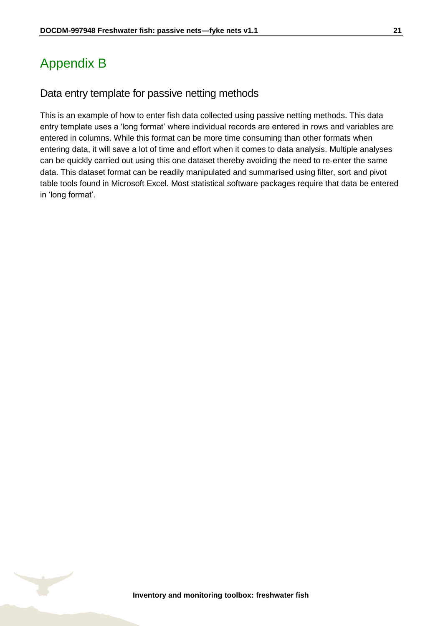# <span id="page-20-0"></span>Appendix B

### Data entry template for passive netting methods

This is an example of how to enter fish data collected using passive netting methods. This data entry template uses a 'long format' where individual records are entered in rows and variables are entered in columns. While this format can be more time consuming than other formats when entering data, it will save a lot of time and effort when it comes to data analysis. Multiple analyses can be quickly carried out using this one dataset thereby avoiding the need to re-enter the same data. This dataset format can be readily manipulated and summarised using filter, sort and pivot table tools found in Microsoft Excel. Most statistical software packages require that data be entered in 'long format'.



**Inventory and monitoring toolbox: freshwater fish**